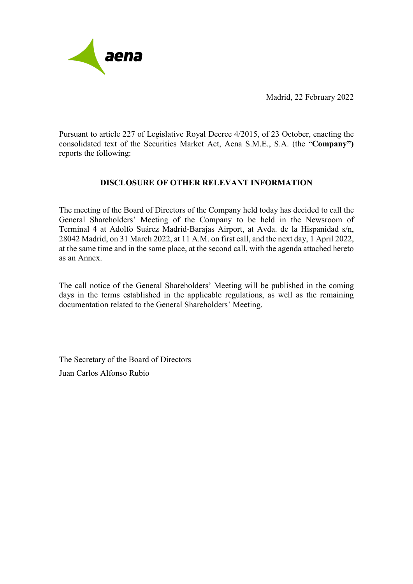

Madrid, 22 February 2022

Pursuant to article 227 of Legislative Royal Decree 4/2015, of 23 October, enacting the consolidated text of the Securities Market Act, Aena S.M.E., S.A. (the "**Company")**  reports the following:

## **DISCLOSURE OF OTHER RELEVANT INFORMATION**

The meeting of the Board of Directors of the Company held today has decided to call the General Shareholders' Meeting of the Company to be held in the Newsroom of Terminal 4 at Adolfo Suárez Madrid-Barajas Airport, at Avda. de la Hispanidad s/n, 28042 Madrid, on 31 March 2022, at 11 A.M. on first call, and the next day, 1 April 2022, at the same time and in the same place, at the second call, with the agenda attached hereto as an Annex.

The call notice of the General Shareholders' Meeting will be published in the coming days in the terms established in the applicable regulations, as well as the remaining documentation related to the General Shareholders' Meeting.

The Secretary of the Board of Directors Juan Carlos Alfonso Rubio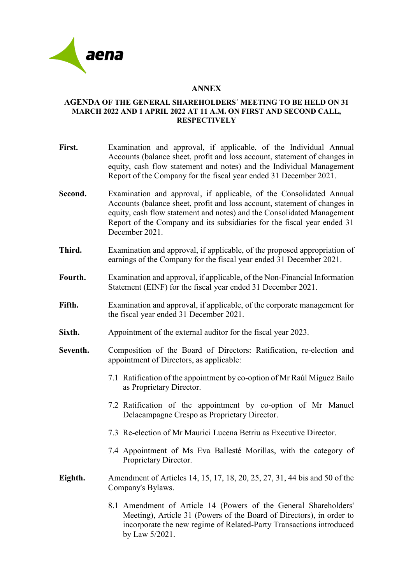

## **ANNEX**

## **AGENDA OF THE GENERAL SHAREHOLDERS´ MEETING TO BE HELD ON 31 MARCH 2022 AND 1 APRIL 2022 AT 11 A.M. ON FIRST AND SECOND CALL, RESPECTIVELY**

**First.** Examination and approval, if applicable, of the Individual Annual Accounts (balance sheet, profit and loss account, statement of changes in equity, cash flow statement and notes) and the Individual Management Report of the Company for the fiscal year ended 31 December 2021. **Second.** Examination and approval, if applicable, of the Consolidated Annual Accounts (balance sheet, profit and loss account, statement of changes in equity, cash flow statement and notes) and the Consolidated Management Report of the Company and its subsidiaries for the fiscal year ended 31 December 2021. **Third.** Examination and approval, if applicable, of the proposed appropriation of earnings of the Company for the fiscal year ended 31 December 2021. **Fourth.** Examination and approval, if applicable, of the Non-Financial Information Statement (EINF) for the fiscal year ended 31 December 2021. **Fifth.** Examination and approval, if applicable, of the corporate management for the fiscal year ended 31 December 2021. **Sixth.** Appointment of the external auditor for the fiscal year 2023. **Seventh.** Composition of the Board of Directors: Ratification, re-election and appointment of Directors, as applicable: 7.1 Ratification of the appointment by co-option of Mr Raúl Míguez Bailo as Proprietary Director. 7.2 Ratification of the appointment by co-option of Mr Manuel Delacampagne Crespo as Proprietary Director. 7.3 Re-election of Mr Maurici Lucena Betriu as Executive Director. 7.4 Appointment of Ms Eva Ballesté Morillas, with the category of Proprietary Director. **Eighth.** Amendment of Articles 14, 15, 17, 18, 20, 25, 27, 31, 44 bis and 50 of the Company's Bylaws. 8.1 Amendment of Article 14 (Powers of the General Shareholders' Meeting), Article 31 (Powers of the Board of Directors), in order to incorporate the new regime of Related-Party Transactions introduced

by Law 5/2021.